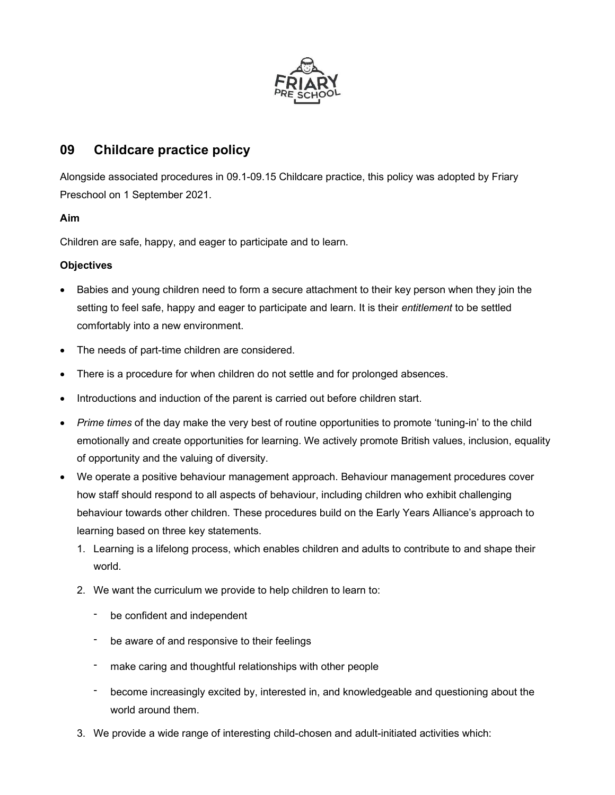

# 09 Childcare practice policy

Alongside associated procedures in 09.1-09.15 Childcare practice, this policy was adopted by Friary Preschool on 1 September 2021.

## Aim

Children are safe, happy, and eager to participate and to learn.

## **Objectives**

- Babies and young children need to form a secure attachment to their key person when they join the setting to feel safe, happy and eager to participate and learn. It is their entitlement to be settled comfortably into a new environment.
- The needs of part-time children are considered.
- There is a procedure for when children do not settle and for prolonged absences.
- Introductions and induction of the parent is carried out before children start.
- Prime times of the day make the very best of routine opportunities to promote 'tuning-in' to the child emotionally and create opportunities for learning. We actively promote British values, inclusion, equality of opportunity and the valuing of diversity.
- We operate a positive behaviour management approach. Behaviour management procedures cover how staff should respond to all aspects of behaviour, including children who exhibit challenging behaviour towards other children. These procedures build on the Early Years Alliance's approach to learning based on three key statements.
	- 1. Learning is a lifelong process, which enables children and adults to contribute to and shape their world.
	- 2. We want the curriculum we provide to help children to learn to:
		- be confident and independent
		- be aware of and responsive to their feelings
		- make caring and thoughtful relationships with other people
		- become increasingly excited by, interested in, and knowledgeable and questioning about the world around them.
	- 3. We provide a wide range of interesting child-chosen and adult-initiated activities which: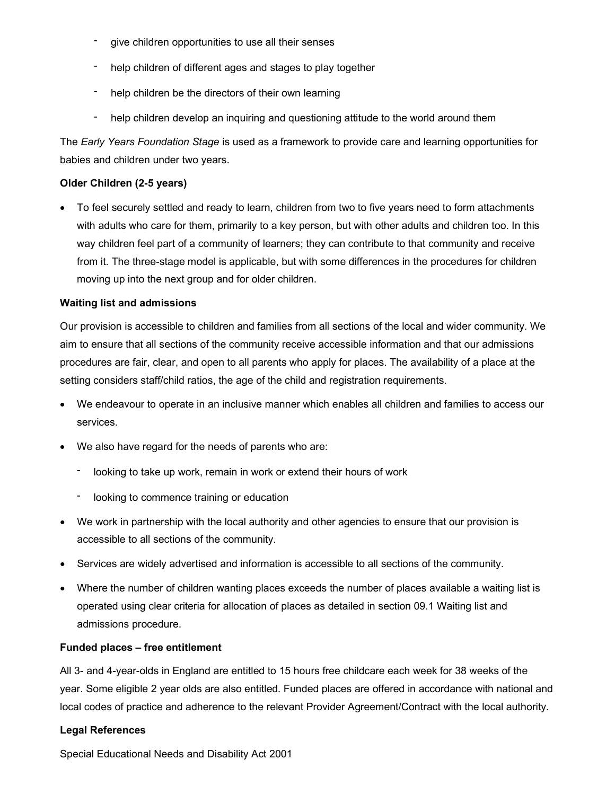- give children opportunities to use all their senses
- help children of different ages and stages to play together
- help children be the directors of their own learning
- help children develop an inquiring and questioning attitude to the world around them

The Early Years Foundation Stage is used as a framework to provide care and learning opportunities for babies and children under two years.

### Older Children (2-5 years)

 To feel securely settled and ready to learn, children from two to five years need to form attachments with adults who care for them, primarily to a key person, but with other adults and children too. In this way children feel part of a community of learners; they can contribute to that community and receive from it. The three-stage model is applicable, but with some differences in the procedures for children moving up into the next group and for older children.

#### Waiting list and admissions

Our provision is accessible to children and families from all sections of the local and wider community. We aim to ensure that all sections of the community receive accessible information and that our admissions procedures are fair, clear, and open to all parents who apply for places. The availability of a place at the setting considers staff/child ratios, the age of the child and registration requirements.

- We endeavour to operate in an inclusive manner which enables all children and families to access our services.
- We also have regard for the needs of parents who are:
	- looking to take up work, remain in work or extend their hours of work
	- looking to commence training or education
- We work in partnership with the local authority and other agencies to ensure that our provision is accessible to all sections of the community.
- Services are widely advertised and information is accessible to all sections of the community.
- Where the number of children wanting places exceeds the number of places available a waiting list is operated using clear criteria for allocation of places as detailed in section 09.1 Waiting list and admissions procedure.

### Funded places – free entitlement

All 3- and 4-year-olds in England are entitled to 15 hours free childcare each week for 38 weeks of the year. Some eligible 2 year olds are also entitled. Funded places are offered in accordance with national and local codes of practice and adherence to the relevant Provider Agreement/Contract with the local authority.

### Legal References

Special Educational Needs and Disability Act 2001